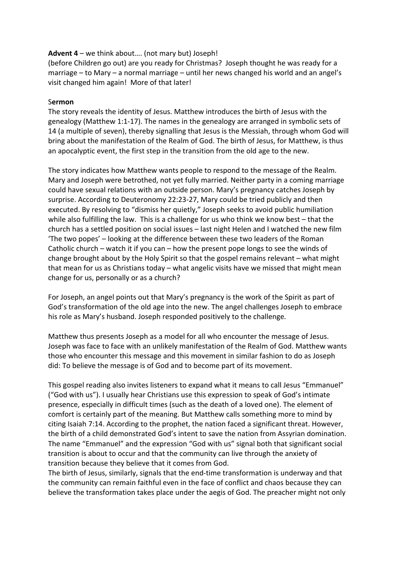# **Advent 4** – we think about…. (not mary but) Joseph!

(before Children go out) are you ready for Christmas? Joseph thought he was ready for a marriage – to Mary – a normal marriage – until her news changed his world and an angel's visit changed him again! More of that later!

### S**ermon**

The story reveals the identity of Jesus. Matthew introduces the birth of Jesus with the genealogy (Matthew 1:1-17). The names in the genealogy are arranged in symbolic sets of 14 (a multiple of seven), thereby signalling that Jesus is the Messiah, through whom God will bring about the manifestation of the Realm of God. The birth of Jesus, for Matthew, is thus an apocalyptic event, the first step in the transition from the old age to the new.

The story indicates how Matthew wants people to respond to the message of the Realm. Mary and Joseph were betrothed, not yet fully married. Neither party in a coming marriage could have sexual relations with an outside person. Mary's pregnancy catches Joseph by surprise. According to Deuteronomy 22:23-27, Mary could be tried publicly and then executed. By resolving to "dismiss her quietly," Joseph seeks to avoid public humiliation while also fulfilling the law. This is a challenge for us who think we know best – that the church has a settled position on social issues – last night Helen and I watched the new film 'The two popes' – looking at the difference between these two leaders of the Roman Catholic church – watch it if you can – how the present pope longs to see the winds of change brought about by the Holy Spirit so that the gospel remains relevant – what might that mean for us as Christians today – what angelic visits have we missed that might mean change for us, personally or as a church?

For Joseph, an angel points out that Mary's pregnancy is the work of the Spirit as part of God's transformation of the old age into the new. The angel challenges Joseph to embrace his role as Mary's husband. Joseph responded positively to the challenge*.*

Matthew thus presents Joseph as a model for all who encounter the message of Jesus. Joseph was face to face with an unlikely manifestation of the Realm of God. Matthew wants those who encounter this message and this movement in similar fashion to do as Joseph did: To believe the message is of God and to become part of its movement.

This gospel reading also invites listeners to expand what it means to call Jesus "Emmanuel" ("God with us"). I usually hear Christians use this expression to speak of God's intimate presence, especially in difficult times (such as the death of a loved one). The element of comfort is certainly part of the meaning. But Matthew calls something more to mind by citing Isaiah 7:14. According to the prophet, the nation faced a significant threat. However, the birth of a child demonstrated God's intent to save the nation from Assyrian domination. The name "Emmanuel" and the expression "God with us" signal both that significant social transition is about to occur and that the community can live through the anxiety of transition because they believe that it comes from God.

The birth of Jesus, similarly, signals that the end-time transformation is underway and that the community can remain faithful even in the face of conflict and chaos because they can believe the transformation takes place under the aegis of God. The preacher might not only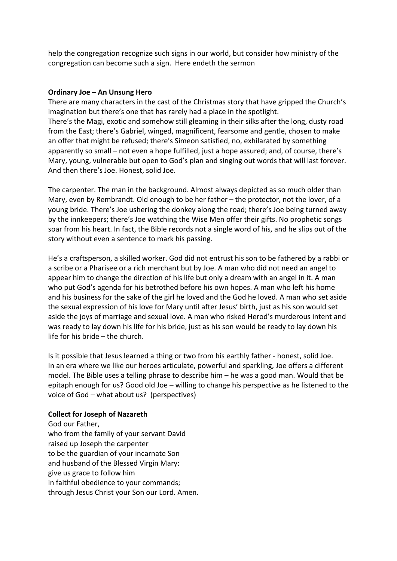help the congregation recognize such signs in our world, but consider how ministry of the congregation can become such a sign. Here endeth the sermon

#### **Ordinary Joe – An Unsung Hero**

There are many characters in the cast of the Christmas story that have gripped the Church's imagination but there's one that has rarely had a place in the spotlight. There's the Magi, exotic and somehow still gleaming in their silks after the long, dusty road from the East; there's Gabriel, winged, magnificent, fearsome and gentle, chosen to make an offer that might be refused; there's Simeon satisfied, no, exhilarated by something apparently so small – not even a hope fulfilled, just a hope assured; and, of course, there's Mary, young, vulnerable but open to God's plan and singing out words that will last forever. And then there's Joe. Honest, solid Joe.

The carpenter. The man in the background. Almost always depicted as so much older than Mary, even by Rembrandt. Old enough to be her father – the protector, not the lover, of a young bride. There's Joe ushering the donkey along the road; there's Joe being turned away by the innkeepers; there's Joe watching the Wise Men offer their gifts. No prophetic songs soar from his heart. In fact, the Bible records not a single word of his, and he slips out of the story without even a sentence to mark his passing.

He's a craftsperson, a skilled worker. God did not entrust his son to be fathered by a rabbi or a scribe or a Pharisee or a rich merchant but by Joe. A man who did not need an angel to appear him to change the direction of his life but only a dream with an angel in it. A man who put God's agenda for his betrothed before his own hopes. A man who left his home and his business for the sake of the girl he loved and the God he loved. A man who set aside the sexual expression of his love for Mary until after Jesus' birth, just as his son would set aside the joys of marriage and sexual love. A man who risked Herod's murderous intent and was ready to lay down his life for his bride, just as his son would be ready to lay down his life for his bride – the church.

Is it possible that Jesus learned a thing or two from his earthly father - honest, solid Joe. In an era where we like our heroes articulate, powerful and sparkling, Joe offers a different model. The Bible uses a telling phrase to describe him – he was a good man. Would that be epitaph enough for us? Good old Joe – willing to change his perspective as he listened to the voice of God – what about us? (perspectives)

### **Collect for Joseph of Nazareth**

God our Father, who from the family of your servant David raised up Joseph the carpenter to be the guardian of your incarnate Son and husband of the Blessed Virgin Mary: give us grace to follow him in faithful obedience to your commands; through Jesus Christ your Son our Lord. Amen.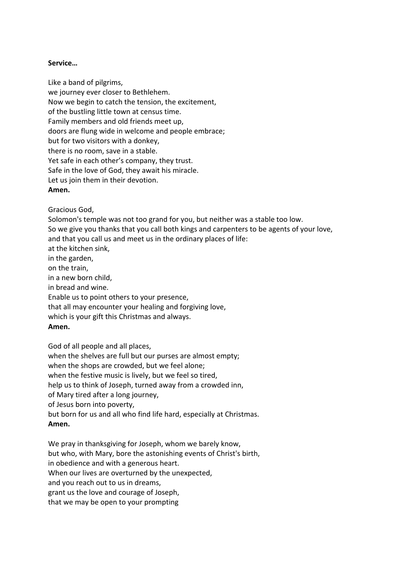# **Service…**

Like a band of pilgrims, we journey ever closer to Bethlehem. Now we begin to catch the tension, the excitement, of the bustling little town at census time. Family members and old friends meet up, doors are flung wide in welcome and people embrace; but for two visitors with a donkey, there is no room, save in a stable. Yet safe in each other's company, they trust. Safe in the love of God, they await his miracle. Let us join them in their devotion. **Amen.**

Gracious God,

Solomon's temple was not too grand for you, but neither was a stable too low. So we give you thanks that you call both kings and carpenters to be agents of your love, and that you call us and meet us in the ordinary places of life: at the kitchen sink, in the garden, on the train, in a new born child, in bread and wine. Enable us to point others to your presence, that all may encounter your healing and forgiving love, which is your gift this Christmas and always.

### **Amen.**

God of all people and all places, when the shelves are full but our purses are almost empty; when the shops are crowded, but we feel alone; when the festive music is lively, but we feel so tired, help us to think of Joseph, turned away from a crowded inn, of Mary tired after a long journey, of Jesus born into poverty, but born for us and all who find life hard, especially at Christmas. **Amen.**

We pray in thanksgiving for Joseph, whom we barely know, but who, with Mary, bore the astonishing events of Christ's birth, in obedience and with a generous heart. When our lives are overturned by the unexpected, and you reach out to us in dreams, grant us the love and courage of Joseph, that we may be open to your prompting